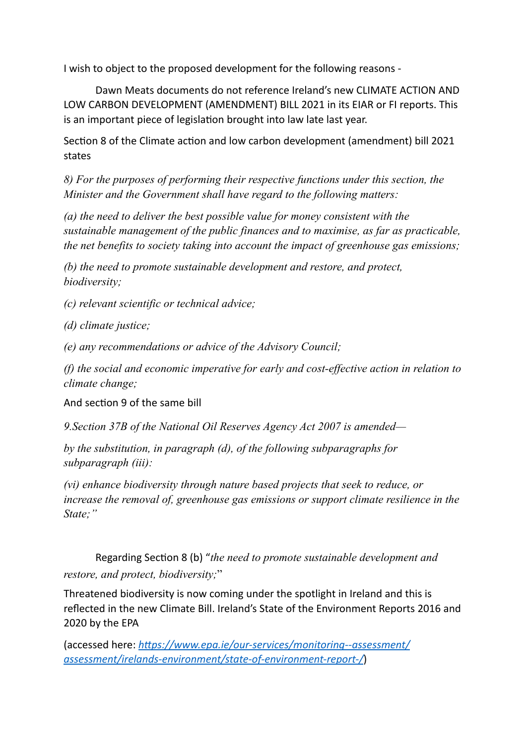I wish to object to the proposed development for the following reasons -

Dawn Meats documents do not reference Ireland's new CLIMATE ACTION AND LOW CARBON DEVELOPMENT (AMENDMENT) BILL 2021 in its EIAR or FI reports. This is an important piece of legislation brought into law late last year.

Section 8 of the Climate action and low carbon development (amendment) bill 2021 states

*8) For the purposes of performing their respective functions under this section, the Minister and the Government shall have regard to the following matters:*

*(a) the need to deliver the best possible value for money consistent with the sustainable management of the public finances and to maximise, as far as practicable, the net benefits to society taking into account the impact of greenhouse gas emissions;*

*(b) the need to promote sustainable development and restore, and protect, biodiversity;*

*(c) relevant scientific or technical advice;*

*(d) climate justice;*

*(e) any recommendations or advice of the Advisory Council;*

*(f) the social and economic imperative for early and cost-effective action in relation to climate change;*

And section 9 of the same bill

*9.Section 37B of the National Oil Reserves Agency Act 2007 is amended—*

*by the substitution, in paragraph (d), of the following subparagraphs for subparagraph (iii):*

*(vi) enhance biodiversity through nature based projects that seek to reduce, or increase the removal of, greenhouse gas emissions or support climate resilience in the State;"*

Regarding Section 8 (b) "*the need to promote sustainable development and restore, and protect, biodiversity;*"

Threatened biodiversity is now coming under the spotlight in Ireland and this is reflected in the new Climate Bill. Ireland's State of the Environment Reports 2016 and 2020 by the EPA

(accessed here: *[https://www.epa.ie/our-services/monitoring--assessment/](https://www.epa.ie/our-services/monitoring--assessment/assessment/irelands-environment/state-of-environment-report-/) [assessment/irelands-environment/state-of-environment-report-/](https://www.epa.ie/our-services/monitoring--assessment/assessment/irelands-environment/state-of-environment-report-/)*)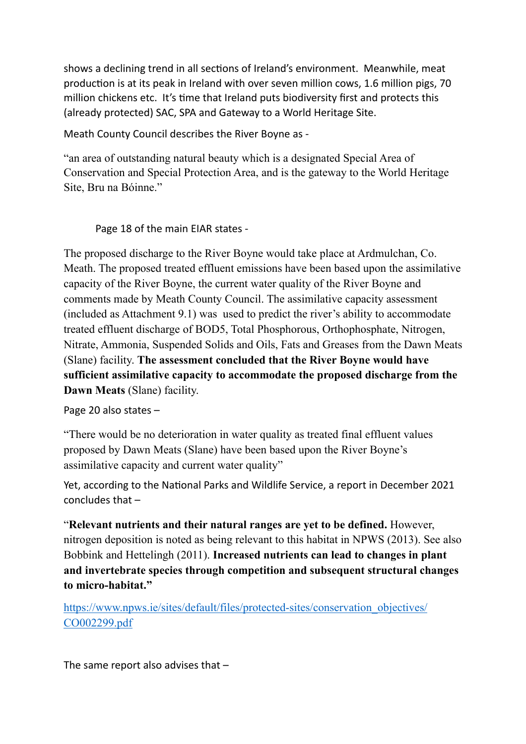shows a declining trend in all sections of Ireland's environment. Meanwhile, meat production is at its peak in Ireland with over seven million cows, 1.6 million pigs, 70 million chickens etc. It's time that Ireland puts biodiversity first and protects this (already protected) SAC, SPA and Gateway to a World Heritage Site.

Meath County Council describes the River Boyne as -

"an area of outstanding natural beauty which is a designated Special Area of Conservation and Special Protection Area, and is the gateway to the World Heritage Site, Bru na Bóinne."

Page 18 of the main EIAR states -

The proposed discharge to the River Boyne would take place at Ardmulchan, Co. Meath. The proposed treated effluent emissions have been based upon the assimilative capacity of the River Boyne, the current water quality of the River Boyne and comments made by Meath County Council. The assimilative capacity assessment (included as Attachment 9.1) was used to predict the river's ability to accommodate treated effluent discharge of BOD5, Total Phosphorous, Orthophosphate, Nitrogen, Nitrate, Ammonia, Suspended Solids and Oils, Fats and Greases from the Dawn Meats (Slane) facility. **The assessment concluded that the River Boyne would have sufficient assimilative capacity to accommodate the proposed discharge from the Dawn Meats** (Slane) facility.

Page 20 also states –

"There would be no deterioration in water quality as treated final effluent values proposed by Dawn Meats (Slane) have been based upon the River Boyne's assimilative capacity and current water quality"

Yet, according to the National Parks and Wildlife Service, a report in December 2021 concludes that –

"**Relevant nutrients and their natural ranges are yet to be defined.** However, nitrogen deposition is noted as being relevant to this habitat in NPWS (2013). See also Bobbink and Hettelingh (2011). **Increased nutrients can lead to changes in plant and invertebrate species through competition and subsequent structural changes to micro-habitat."**

[https://www.npws.ie/sites/default/files/protected-sites/conservation\\_objectives/](https://www.npws.ie/sites/default/files/protected-sites/conservation_objectives/CO002299.pdf) [CO002299.pdf](https://www.npws.ie/sites/default/files/protected-sites/conservation_objectives/CO002299.pdf)

The same report also advises that –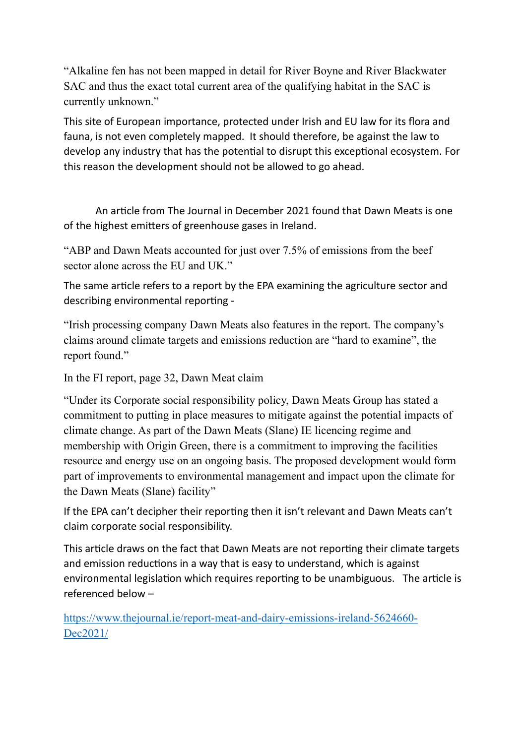"Alkaline fen has not been mapped in detail for River Boyne and River Blackwater SAC and thus the exact total current area of the qualifying habitat in the SAC is currently unknown."

This site of European importance, protected under Irish and EU law for its flora and fauna, is not even completely mapped. It should therefore, be against the law to develop any industry that has the potential to disrupt this exceptional ecosystem. For this reason the development should not be allowed to go ahead.

An article from The Journal in December 2021 found that Dawn Meats is one of the highest emitters of greenhouse gases in Ireland.

"ABP and Dawn Meats accounted for just over 7.5% of emissions from the beef sector alone across the EU and UK."

The same article refers to a report by the EPA examining the agriculture sector and describing environmental reporting -

"Irish processing company Dawn Meats also features in the report. The company's claims around climate targets and emissions reduction are "hard to examine", the report found."

In the FI report, page 32, Dawn Meat claim

"Under its Corporate social responsibility policy, Dawn Meats Group has stated a commitment to putting in place measures to mitigate against the potential impacts of climate change. As part of the Dawn Meats (Slane) IE licencing regime and membership with Origin Green, there is a commitment to improving the facilities resource and energy use on an ongoing basis. The proposed development would form part of improvements to environmental management and impact upon the climate for the Dawn Meats (Slane) facility"

If the EPA can't decipher their reporting then it isn't relevant and Dawn Meats can't claim corporate social responsibility.

This article draws on the fact that Dawn Meats are not reporting their climate targets and emission reductions in a way that is easy to understand, which is against environmental legislation which requires reporting to be unambiguous. The article is referenced below –

[https://www.thejournal.ie/report-meat-and-dairy-emissions-ireland-5624660-](https://www.thejournal.ie/report-meat-and-dairy-emissions-ireland-5624660-Dec2021/) [Dec2021/](https://www.thejournal.ie/report-meat-and-dairy-emissions-ireland-5624660-Dec2021/)